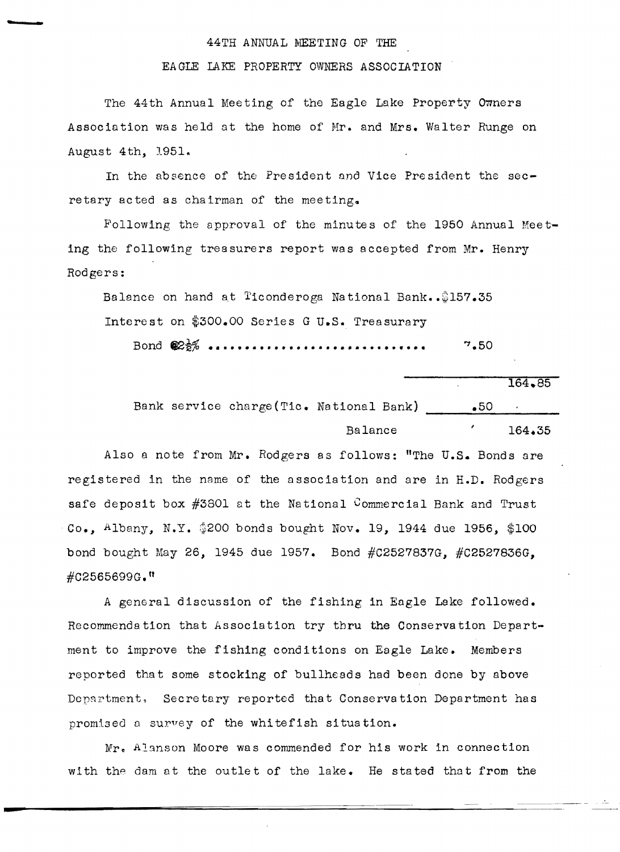## 44TH ANNUAL MEETING OF THE

**.. .** 

## EAOLE LAKE PROPERTY OWNERS ASSOCIATION

The 44th Annual Meeting of the Eagle Lake Property Onners Association was held at the home of Mr. and Mrs. Walter Runge on August 4th. 1951.

In the absence of the President and Vice President the secretary acted as chairman of the meeting.

Following the approval of the minutes of the 1950 Annual Meeting the following treasurers report was accepted from Mr. Henry ROdgers:

Balance on hand at Ticonderoga National Bank... 157.35 Interest on \$300.00 Series G U.S. Treasurary

**Bond** I!a~ •••••••••••••••••••••••••••••• '7.50

 $164.85$ 

~~..--.. -"'-

Bank service charge(Tic. National Bank) .50 Balance 164.35

Also a note from Mr. Rodgers as follows: "The U.S. Bonds are registered in the name of the association and are in H.D. Rodgers safe deposit box  $\#3801$  at the National Commercial Bank and Trust Co., Albany, N.Y. \$200 bonds bought Nov. 19, 1944 due 1956, \$100 bond bought May 26, 1945 due 1957. Bond #C2527837G, #C2527836G, #C2565699G."

A general discussion of the fishing in Eagle Lake followed. Recommendation that Association try tbru the Conservation Department to improve the fishing conditions on Eagle Lake. Members reported that some stocking of bullheads had been done by above Department. Secretary reported that Conservation Department has promised a survey of the whi tefish situa tion.

Mr. Alanson Moore was commended for his work in connection with the dam at the outlet of the lake. He stated that from the

---------\_.......===============:::.:....\_---==---\_...\_-